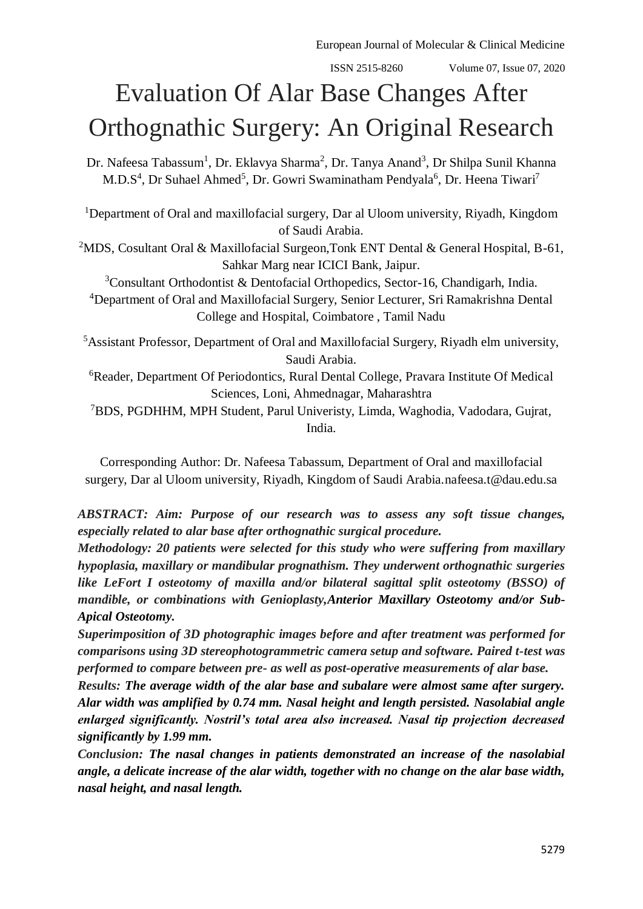# Evaluation Of Alar Base Changes After Orthognathic Surgery: An Original Research

Dr. Nafeesa Tabassum<sup>1</sup>, Dr. Eklavya Sharma<sup>2</sup>, Dr. Tanya Anand<sup>3</sup>, Dr Shilpa Sunil Khanna M.D.S<sup>4</sup>, Dr Suhael Ahmed<sup>5</sup>, Dr. Gowri Swaminatham Pendyala<sup>6</sup>, Dr. Heena Tiwari<sup>7</sup>

<sup>1</sup>Department of Oral and maxillofacial surgery, Dar al Uloom university, Riyadh, Kingdom of Saudi Arabia.

<sup>2</sup>MDS, Cosultant Oral & Maxillofacial Surgeon, Tonk ENT Dental & General Hospital, B-61, Sahkar Marg near ICICI Bank, Jaipur.

<sup>3</sup>Consultant Orthodontist & Dentofacial Orthopedics, Sector-16, Chandigarh, India. <sup>4</sup>Department of Oral and Maxillofacial Surgery, Senior Lecturer, Sri Ramakrishna Dental College and Hospital, Coimbatore , Tamil Nadu

<sup>5</sup>Assistant Professor, Department of Oral and Maxillofacial Surgery, Riyadh elm university, Saudi Arabia.

<sup>6</sup>Reader, Department Of Periodontics, Rural Dental College, Pravara Institute Of Medical Sciences, Loni, Ahmednagar, Maharashtra

<sup>7</sup>BDS, PGDHHM, MPH Student, Parul Univeristy, Limda, Waghodia, Vadodara, Gujrat, India.

Corresponding Author: Dr. Nafeesa Tabassum, Department of Oral and maxillofacial surgery, Dar al Uloom university, Riyadh, Kingdom of Saudi Arabia[.nafeesa.t@dau.edu.sa](mailto:nafeesa.t@dau.edu.sa)

*ABSTRACT: Aim: Purpose of our research was to assess any soft tissue changes, especially related to alar base after orthognathic surgical procedure.*

*Methodology: 20 patients were selected for this study who were suffering from maxillary hypoplasia, maxillary or mandibular prognathism. They underwent orthognathic surgeries like LeFort I osteotomy of maxilla and/or bilateral sagittal split osteotomy (BSSO) of mandible, or combinations with Genioplasty,Anterior Maxillary Osteotomy and/or Sub-Apical Osteotomy.*

*Superimposition of 3D photographic images before and after treatment was performed for comparisons using 3D stereophotogrammetric camera setup and software. Paired t-test was performed to compare between pre- as well as post-operative measurements of alar base.*

*Results: The average width of the alar base and subalare were almost same after surgery. Alar width was amplified by 0.74 mm. Nasal height and length persisted. Nasolabial angle enlarged significantly. Nostril's total area also increased. Nasal tip projection decreased significantly by 1.99 mm.*

*Conclusion: The nasal changes in patients demonstrated an increase of the nasolabial angle, a delicate increase of the alar width, together with no change on the alar base width, nasal height, and nasal length.*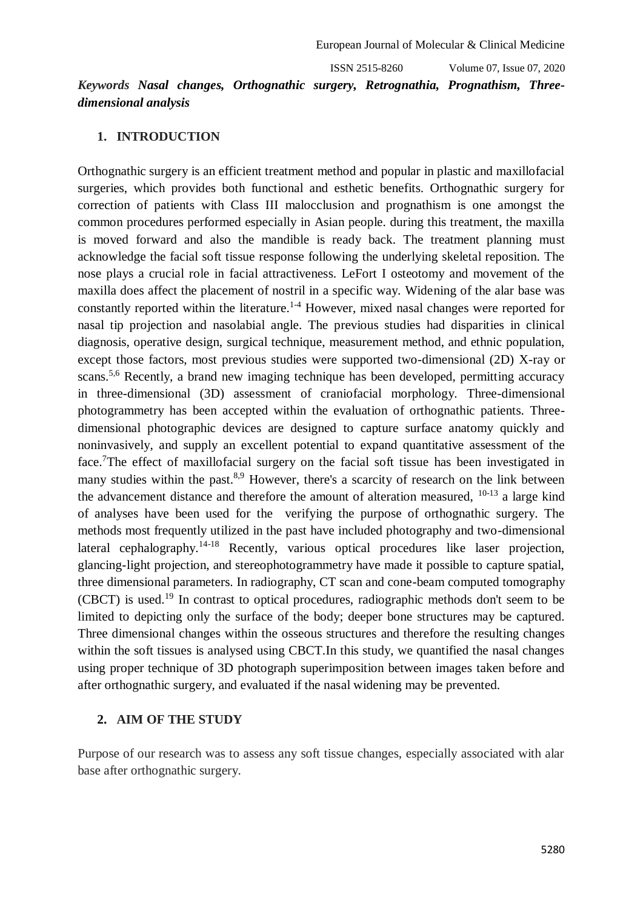# *Keywords Nasal changes, Orthognathic surgery, Retrognathia, Prognathism, Threedimensional analysis*

#### **1. INTRODUCTION**

Orthognathic surgery is an efficient treatment method and popular in plastic and maxillofacial surgeries, which provides both functional and esthetic benefits. Orthognathic surgery for correction of patients with Class III malocclusion and prognathism is one amongst the common procedures performed especially in Asian people. during this treatment, the maxilla is moved forward and also the mandible is ready back. The treatment planning must acknowledge the facial soft tissue response following the underlying skeletal reposition. The nose plays a crucial role in facial attractiveness. LeFort I osteotomy and movement of the maxilla does affect the placement of nostril in a specific way. Widening of the alar base was constantly reported within the literature.<sup>1-4</sup> However, mixed nasal changes were reported for nasal tip projection and nasolabial angle. The previous studies had disparities in clinical diagnosis, operative design, surgical technique, measurement method, and ethnic population, except those factors, most previous studies were supported two-dimensional (2D) X-ray or scans.<sup>5,6</sup> Recently, a brand new imaging technique has been developed, permitting accuracy in three-dimensional (3D) assessment of craniofacial morphology. Three-dimensional photogrammetry has been accepted within the evaluation of orthognathic patients. Threedimensional photographic devices are designed to capture surface anatomy quickly and noninvasively, and supply an excellent potential to expand quantitative assessment of the face.<sup>7</sup>The effect of maxillofacial surgery on the facial soft tissue has been investigated in many studies within the past.<sup>8,9</sup> However, there's a scarcity of research on the link between the advancement distance and therefore the amount of alteration measured,  $10-13$  a large kind of analyses have been used for the verifying the purpose of orthognathic surgery. The methods most frequently utilized in the past have included photography and two-dimensional lateral cephalography.<sup>14-18</sup> Recently, various optical procedures like laser projection, glancing-light projection, and stereophotogrammetry have made it possible to capture spatial, three dimensional parameters. In radiography, CT scan and cone-beam computed tomography (CBCT) is used.<sup>19</sup> In contrast to optical procedures, radiographic methods don't seem to be limited to depicting only the surface of the body; deeper bone structures may be captured. Three dimensional changes within the osseous structures and therefore the resulting changes within the soft tissues is analysed using CBCT.In this study, we quantified the nasal changes using proper technique of 3D photograph superimposition between images taken before and after orthognathic surgery, and evaluated if the nasal widening may be prevented.

### **2. AIM OF THE STUDY**

Purpose of our research was to assess any soft tissue changes, especially associated with alar base after orthognathic surgery.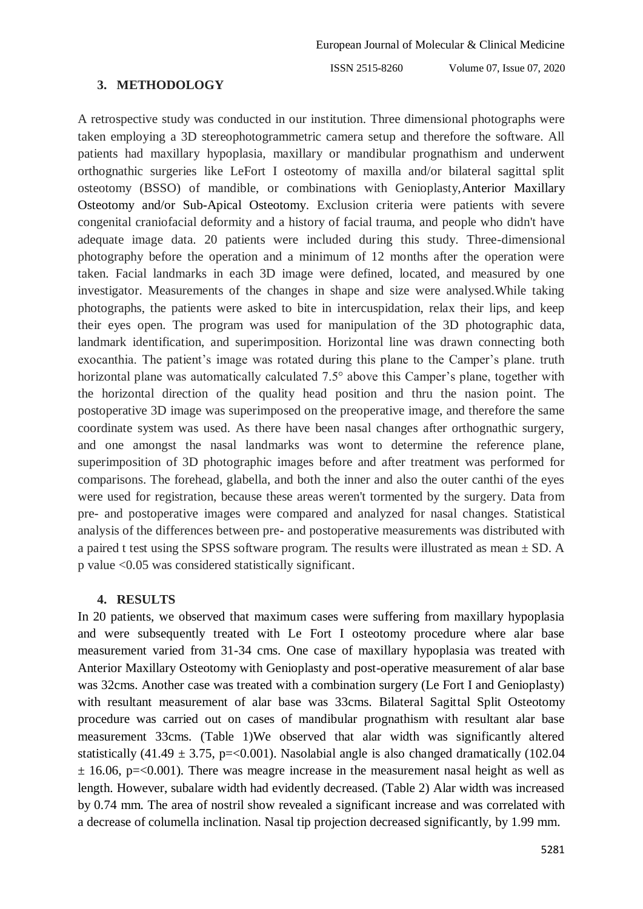#### **3. METHODOLOGY**

A retrospective study was conducted in our institution. Three dimensional photographs were taken employing a 3D stereophotogrammetric camera setup and therefore the software. All patients had maxillary hypoplasia, maxillary or mandibular prognathism and underwent orthognathic surgeries like LeFort I osteotomy of maxilla and/or bilateral sagittal split osteotomy (BSSO) of mandible, or combinations with Genioplasty,Anterior Maxillary Osteotomy and/or Sub-Apical Osteotomy. Exclusion criteria were patients with severe congenital craniofacial deformity and a history of facial trauma, and people who didn't have adequate image data. 20 patients were included during this study. Three-dimensional photography before the operation and a minimum of 12 months after the operation were taken. Facial landmarks in each 3D image were defined, located, and measured by one investigator. Measurements of the changes in shape and size were analysed.While taking photographs, the patients were asked to bite in intercuspidation, relax their lips, and keep their eyes open. The program was used for manipulation of the 3D photographic data, landmark identification, and superimposition. Horizontal line was drawn connecting both exocanthia. The patient's image was rotated during this plane to the Camper's plane. truth horizontal plane was automatically calculated 7.5° above this Camper's plane, together with the horizontal direction of the quality head position and thru the nasion point. The postoperative 3D image was superimposed on the preoperative image, and therefore the same coordinate system was used. As there have been nasal changes after orthognathic surgery, and one amongst the nasal landmarks was wont to determine the reference plane, superimposition of 3D photographic images before and after treatment was performed for comparisons. The forehead, glabella, and both the inner and also the outer canthi of the eyes were used for registration, because these areas weren't tormented by the surgery. Data from pre- and postoperative images were compared and analyzed for nasal changes. Statistical analysis of the differences between pre- and postoperative measurements was distributed with a paired t test using the SPSS software program. The results were illustrated as mean  $\pm$  SD. A p value <0.05 was considered statistically significant.

#### **4. RESULTS**

In 20 patients, we observed that maximum cases were suffering from maxillary hypoplasia and were subsequently treated with Le Fort I osteotomy procedure where alar base measurement varied from 31-34 cms. One case of maxillary hypoplasia was treated with Anterior Maxillary Osteotomy with Genioplasty and post-operative measurement of alar base was 32cms. Another case was treated with a combination surgery (Le Fort I and Genioplasty) with resultant measurement of alar base was 33cms. Bilateral Sagittal Split Osteotomy procedure was carried out on cases of mandibular prognathism with resultant alar base measurement 33cms. (Table 1)We observed that alar width was significantly altered statistically (41.49  $\pm$  3.75, p=<0.001). Nasolabial angle is also changed dramatically (102.04  $\pm$  16.06, p=<0.001). There was meagre increase in the measurement nasal height as well as length. However, subalare width had evidently decreased. (Table 2) Alar width was increased by 0.74 mm. The area of nostril show revealed a significant increase and was correlated with a decrease of columella inclination. Nasal tip projection decreased significantly, by 1.99 mm.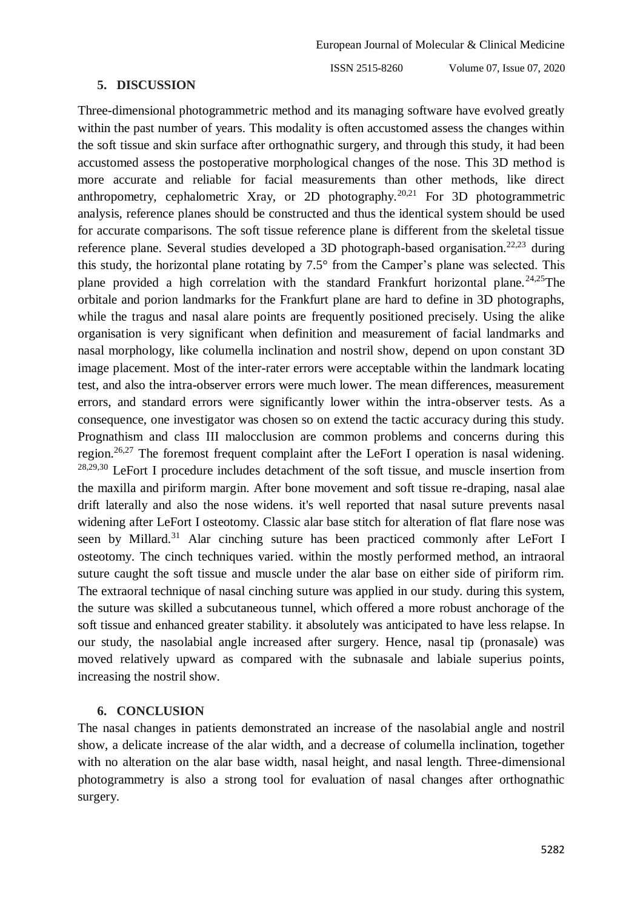#### **5. DISCUSSION**

Three-dimensional photogrammetric method and its managing software have evolved greatly within the past number of years. This modality is often accustomed assess the changes within the soft tissue and skin surface after orthognathic surgery, and through this study, it had been accustomed assess the postoperative morphological changes of the nose. This 3D method is more accurate and reliable for facial measurements than other methods, like direct anthropometry, cephalometric Xray, or 2D photography.20,21 For 3D photogrammetric analysis, reference planes should be constructed and thus the identical system should be used for accurate comparisons. The soft tissue reference plane is different from the skeletal tissue reference plane. Several studies developed a 3D photograph-based organisation.<sup>22,23</sup> during this study, the horizontal plane rotating by 7.5° from the Camper's plane was selected. This plane provided a high correlation with the standard Frankfurt horizontal plane.<sup>24,25</sup>The orbitale and porion landmarks for the Frankfurt plane are hard to define in 3D photographs, while the tragus and nasal alare points are frequently positioned precisely. Using the alike organisation is very significant when definition and measurement of facial landmarks and nasal morphology, like columella inclination and nostril show, depend on upon constant 3D image placement. Most of the inter-rater errors were acceptable within the landmark locating test, and also the intra-observer errors were much lower. The mean differences, measurement errors, and standard errors were significantly lower within the intra-observer tests. As a consequence, one investigator was chosen so on extend the tactic accuracy during this study. Prognathism and class III malocclusion are common problems and concerns during this region.<sup>26,27</sup> The foremost frequent complaint after the LeFort I operation is nasal widening.  $28,29,30$  LeFort I procedure includes detachment of the soft tissue, and muscle insertion from the maxilla and piriform margin. After bone movement and soft tissue re-draping, nasal alae drift laterally and also the nose widens. it's well reported that nasal suture prevents nasal widening after LeFort I osteotomy. Classic alar base stitch for alteration of flat flare nose was seen by Millard.<sup>31</sup> Alar cinching suture has been practiced commonly after LeFort I osteotomy. The cinch techniques varied. within the mostly performed method, an intraoral suture caught the soft tissue and muscle under the alar base on either side of piriform rim. The extraoral technique of nasal cinching suture was applied in our study. during this system, the suture was skilled a subcutaneous tunnel, which offered a more robust anchorage of the soft tissue and enhanced greater stability. it absolutely was anticipated to have less relapse. In our study, the nasolabial angle increased after surgery. Hence, nasal tip (pronasale) was moved relatively upward as compared with the subnasale and labiale superius points, increasing the nostril show.

## **6. CONCLUSION**

The nasal changes in patients demonstrated an increase of the nasolabial angle and nostril show, a delicate increase of the alar width, and a decrease of columella inclination, together with no alteration on the alar base width, nasal height, and nasal length. Three-dimensional photogrammetry is also a strong tool for evaluation of nasal changes after orthognathic surgery.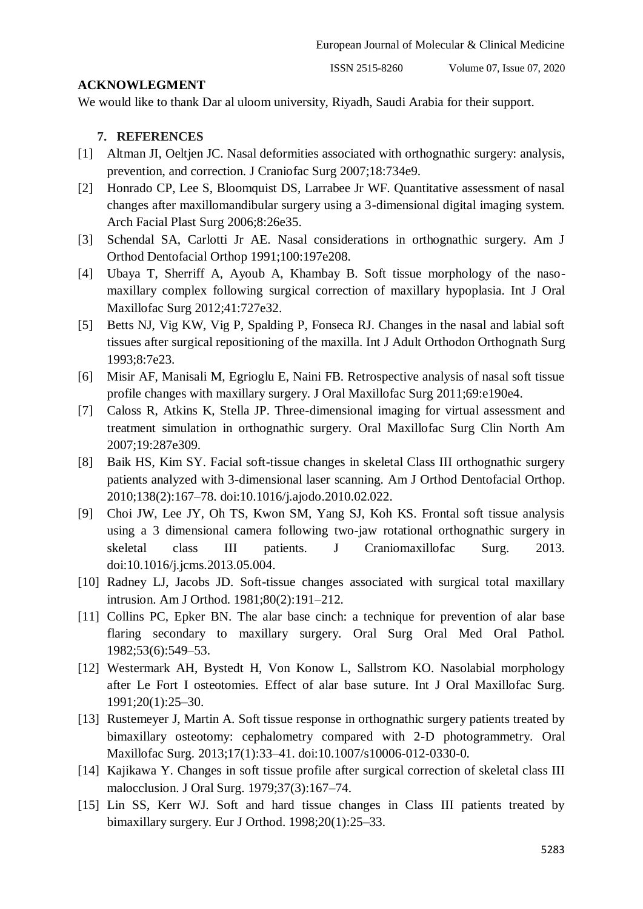## **ACKNOWLEGMENT**

We would like to thank Dar al uloom university, Riyadh, Saudi Arabia for their support.

## **7. REFERENCES**

- [1] Altman JI, Oeltjen JC. Nasal deformities associated with orthognathic surgery: analysis, prevention, and correction. J Craniofac Surg 2007;18:734e9.
- [2] Honrado CP, Lee S, Bloomquist DS, Larrabee Jr WF. Quantitative assessment of nasal changes after maxillomandibular surgery using a 3-dimensional digital imaging system. Arch Facial Plast Surg 2006;8:26e35.
- [3] Schendal SA, Carlotti Jr AE. Nasal considerations in orthognathic surgery. Am J Orthod Dentofacial Orthop 1991;100:197e208.
- [4] Ubaya T, Sherriff A, Ayoub A, Khambay B. Soft tissue morphology of the nasomaxillary complex following surgical correction of maxillary hypoplasia. Int J Oral Maxillofac Surg 2012;41:727e32.
- [5] Betts NJ, Vig KW, Vig P, Spalding P, Fonseca RJ. Changes in the nasal and labial soft tissues after surgical repositioning of the maxilla. Int J Adult Orthodon Orthognath Surg 1993;8:7e23.
- [6] Misir AF, Manisali M, Egrioglu E, Naini FB. Retrospective analysis of nasal soft tissue profile changes with maxillary surgery. J Oral Maxillofac Surg 2011;69:e190e4.
- [7] Caloss R, Atkins K, Stella JP. Three-dimensional imaging for virtual assessment and treatment simulation in orthognathic surgery. Oral Maxillofac Surg Clin North Am 2007;19:287e309.
- [8] Baik HS, Kim SY. Facial soft-tissue changes in skeletal Class III orthognathic surgery patients analyzed with 3-dimensional laser scanning. Am J Orthod Dentofacial Orthop. 2010;138(2):167–78. doi:10.1016/j.ajodo.2010.02.022.
- [9] Choi JW, Lee JY, Oh TS, Kwon SM, Yang SJ, Koh KS. Frontal soft tissue analysis using a 3 dimensional camera following two-jaw rotational orthognathic surgery in skeletal class III patients. J Craniomaxillofac Surg. 2013. doi:10.1016/j.jcms.2013.05.004.
- [10] Radney LJ, Jacobs JD. Soft-tissue changes associated with surgical total maxillary intrusion. Am J Orthod. 1981;80(2):191–212.
- [11] Collins PC, Epker BN. The alar base cinch: a technique for prevention of alar base flaring secondary to maxillary surgery. Oral Surg Oral Med Oral Pathol. 1982;53(6):549–53.
- [12] Westermark AH, Bystedt H, Von Konow L, Sallstrom KO. Nasolabial morphology after Le Fort I osteotomies. Effect of alar base suture. Int J Oral Maxillofac Surg. 1991;20(1):25–30.
- [13] Rustemeyer J, Martin A. Soft tissue response in orthognathic surgery patients treated by bimaxillary osteotomy: cephalometry compared with 2-D photogrammetry. Oral Maxillofac Surg. 2013;17(1):33–41. doi:10.1007/s10006-012-0330-0.
- [14] Kajikawa Y. Changes in soft tissue profile after surgical correction of skeletal class III malocclusion. J Oral Surg. 1979;37(3):167–74.
- [15] Lin SS, Kerr WJ. Soft and hard tissue changes in Class III patients treated by bimaxillary surgery. Eur J Orthod. 1998;20(1):25–33.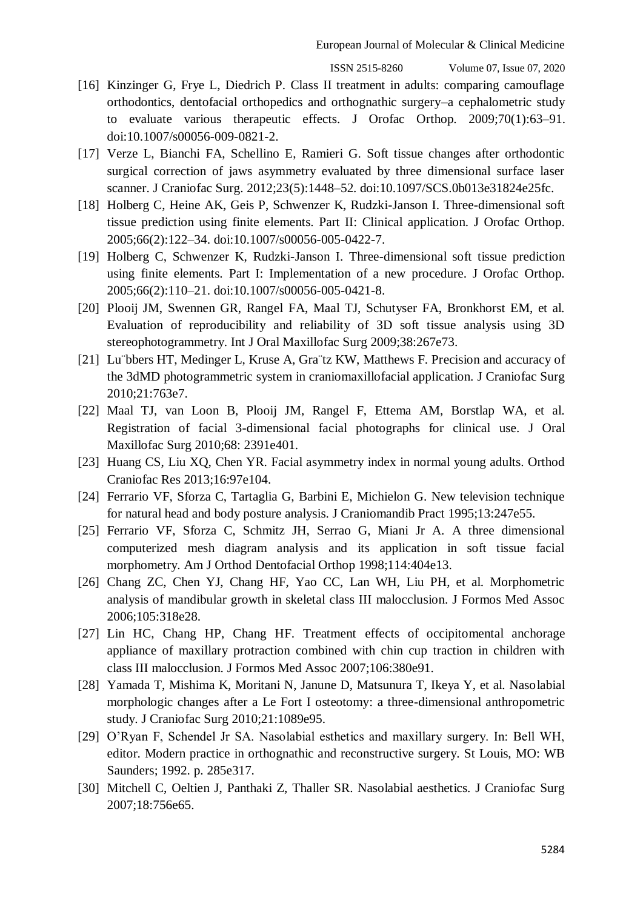- [16] Kinzinger G, Frye L, Diedrich P. Class II treatment in adults: comparing camouflage orthodontics, dentofacial orthopedics and orthognathic surgery–a cephalometric study to evaluate various therapeutic effects. J Orofac Orthop. 2009;70(1):63–91. doi:10.1007/s00056-009-0821-2.
- [17] Verze L, Bianchi FA, Schellino E, Ramieri G. Soft tissue changes after orthodontic surgical correction of jaws asymmetry evaluated by three dimensional surface laser scanner. J Craniofac Surg. 2012;23(5):1448–52. doi:10.1097/SCS.0b013e31824e25fc.
- [18] Holberg C, Heine AK, Geis P, Schwenzer K, Rudzki-Janson I. Three-dimensional soft tissue prediction using finite elements. Part II: Clinical application. J Orofac Orthop. 2005;66(2):122–34. doi:10.1007/s00056-005-0422-7.
- [19] Holberg C, Schwenzer K, Rudzki-Janson I. Three-dimensional soft tissue prediction using finite elements. Part I: Implementation of a new procedure. J Orofac Orthop. 2005;66(2):110–21. doi:10.1007/s00056-005-0421-8.
- [20] Plooij JM, Swennen GR, Rangel FA, Maal TJ, Schutyser FA, Bronkhorst EM, et al. Evaluation of reproducibility and reliability of 3D soft tissue analysis using 3D stereophotogrammetry. Int J Oral Maxillofac Surg 2009;38:267e73.
- [21] Lu<sup>ti</sup>bbers HT, Medinger L, Kruse A, Gratz KW, Matthews F. Precision and accuracy of the 3dMD photogrammetric system in craniomaxillofacial application. J Craniofac Surg 2010;21:763e7.
- [22] Maal TJ, van Loon B, Plooij JM, Rangel F, Ettema AM, Borstlap WA, et al. Registration of facial 3-dimensional facial photographs for clinical use. J Oral Maxillofac Surg 2010;68: 2391e401.
- [23] Huang CS, Liu XQ, Chen YR. Facial asymmetry index in normal young adults. Orthod Craniofac Res 2013;16:97e104.
- [24] Ferrario VF, Sforza C, Tartaglia G, Barbini E, Michielon G. New television technique for natural head and body posture analysis. J Craniomandib Pract 1995;13:247e55.
- [25] Ferrario VF, Sforza C, Schmitz JH, Serrao G, Miani Jr A. A three dimensional computerized mesh diagram analysis and its application in soft tissue facial morphometry. Am J Orthod Dentofacial Orthop 1998;114:404e13.
- [26] Chang ZC, Chen YJ, Chang HF, Yao CC, Lan WH, Liu PH, et al. Morphometric analysis of mandibular growth in skeletal class III malocclusion. J Formos Med Assoc 2006;105:318e28.
- [27] Lin HC, Chang HP, Chang HF. Treatment effects of occipitomental anchorage appliance of maxillary protraction combined with chin cup traction in children with class III malocclusion. J Formos Med Assoc 2007;106:380e91.
- [28] Yamada T, Mishima K, Moritani N, Janune D, Matsunura T, Ikeya Y, et al. Nasolabial morphologic changes after a Le Fort I osteotomy: a three-dimensional anthropometric study. J Craniofac Surg 2010;21:1089e95.
- [29] O'Ryan F, Schendel Jr SA. Nasolabial esthetics and maxillary surgery. In: Bell WH, editor. Modern practice in orthognathic and reconstructive surgery. St Louis, MO: WB Saunders; 1992. p. 285e317.
- [30] Mitchell C, Oeltien J, Panthaki Z, Thaller SR. Nasolabial aesthetics. J Craniofac Surg 2007;18:756e65.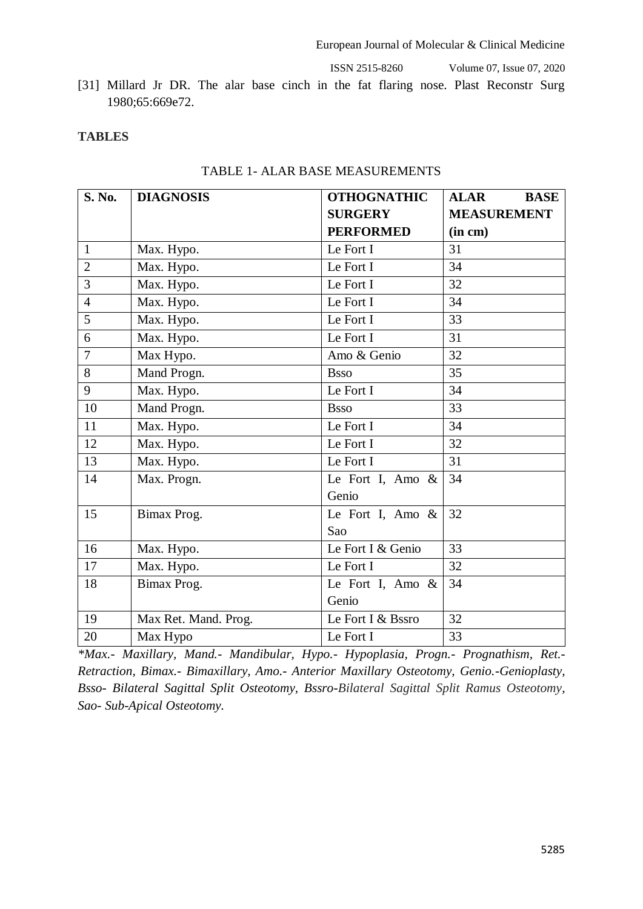[31] Millard Jr DR. The alar base cinch in the fat flaring nose. Plast Reconstr Surg 1980;65:669e72.

#### **TABLES**

| S. No.         | <b>DIAGNOSIS</b>     | <b>OTHOGNATHIC</b>  | <b>ALAR</b><br><b>BASE</b> |
|----------------|----------------------|---------------------|----------------------------|
|                |                      | <b>SURGERY</b>      | <b>MEASUREMENT</b>         |
|                |                      | <b>PERFORMED</b>    | (in cm)                    |
| $\mathbf{1}$   | Max. Hypo.           | Le Fort I           | 31                         |
| $\overline{2}$ | Max. Hypo.           | Le Fort I           | 34                         |
| 3              | Max. Hypo.           | Le Fort I           | 32                         |
| $\overline{4}$ | Max. Hypo.           | Le Fort I           | 34                         |
| 5              | Max. Hypo.           | Le Fort I           | 33                         |
| 6              | Max. Hypo.           | Le Fort I           | 31                         |
| 7              | Max Hypo.            | Amo & Genio         | 32                         |
| 8              | Mand Progn.          | <b>Bsso</b>         | 35                         |
| 9              | Max. Hypo.           | Le Fort I           | 34                         |
| 10             | Mand Progn.          | <b>Bsso</b>         | 33                         |
| 11             | Max. Hypo.           | Le Fort I           | 34                         |
| 12             | Max. Hypo.           | Le Fort I           | 32                         |
| 13             | Max. Hypo.           | Le Fort I           | 31                         |
| 14             | Max. Progn.          | Le Fort I, Amo $\&$ | 34                         |
|                |                      | Genio               |                            |
| 15             | Bimax Prog.          | Le Fort I, Amo $\&$ | 32                         |
|                |                      | Sao                 |                            |
| 16             | Max. Hypo.           | Le Fort I & Genio   | 33                         |
| 17             | Max. Hypo.           | Le Fort I           | 32                         |
| 18             | Bimax Prog.          | Le Fort I, Amo $\&$ | 34                         |
|                |                      | Genio               |                            |
| 19             | Max Ret. Mand. Prog. | Le Fort I & Bssro   | 32                         |
| 20             | Max Hypo             | Le Fort I           | 33                         |

*\*Max.- Maxillary, Mand.- Mandibular, Hypo.- Hypoplasia, Progn.- Prognathism, Ret.- Retraction, Bimax.- Bimaxillary, Amo.- Anterior Maxillary Osteotomy, Genio.-Genioplasty, Bsso- Bilateral Sagittal Split Osteotomy, Bssro-Bilateral Sagittal Split Ramus Osteotomy, Sao- Sub-Apical Osteotomy.*